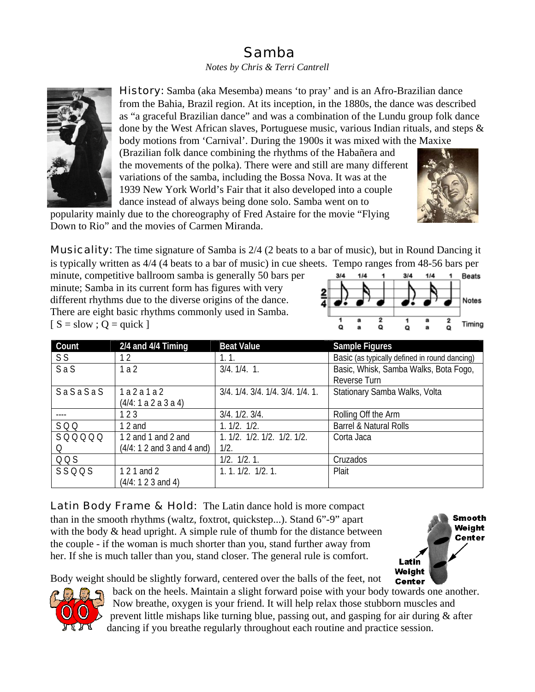## Samba

## *Notes by Chris & Terri Cantrell*



History: Samba (aka Mesemba) means 'to pray' and is an Afro-Brazilian dance from the Bahia, Brazil region. At its inception, in the 1880s, the dance was described as "a graceful Brazilian dance" and was a combination of the Lundu group folk dance done by the West African slaves, Portuguese music, various Indian rituals, and steps  $\&$ 

body motions from 'Carnival'. During the 1900s it was mixed with the Maxixe (Brazilian folk dance combining the rhythms of the Habañera and the movements of the polka). There were and still are many different variations of the samba, including the Bossa Nova. It was at the 1939 New York World's Fair that it also developed into a couple dance instead of always being done solo. Samba went on to

popularity mainly due to the choreography of Fred Astaire for the movie "Flying Down to Rio" and the movies of Carmen Miranda.



Musicality: The time signature of Samba is 2/4 (2 beats to a bar of music), but in Round Dancing it is typically written as 4/4 (4 beats to a bar of music) in cue sheets. Tempo ranges from 48-56 bars per

minute, competitive ballroom samba is generally 50 bars per minute; Samba in its current form has figures with very different rhythms due to the diverse origins of the dance. There are eight basic rhythms commonly used in Samba.  $[S = slow ; Q = quick]$ 



| Count          | $2/4$ and $4/4$ Timing       | <b>Beat Value</b>                | Sample Figures                                |  |
|----------------|------------------------------|----------------------------------|-----------------------------------------------|--|
| S <sub>S</sub> | 12                           | 1.1.                             | Basic (as typically defined in round dancing) |  |
| SaS            | 1a2                          | $3/4.1/4.1$ .                    | Basic, Whisk, Samba Walks, Bota Fogo,         |  |
|                |                              |                                  | Reverse Turn                                  |  |
| SaSaSaS        | 1a2a1a2                      | 3/4. 1/4. 3/4. 1/4. 3/4. 1/4. 1. | Stationary Samba Walks, Volta                 |  |
|                | (4/4: 1 a 2 a 3 a 4)         |                                  |                                               |  |
|                | 123                          | 3/4.1/2.3/4.                     | Rolling Off the Arm                           |  |
| SQQ            | 12 and                       | 1.1/2.1/2.                       | <b>Barrel &amp; Natural Rolls</b>             |  |
| SQQQQQ         | 1 2 and 1 and 2 and          | 1. 1/2. 1/2. 1/2. 1/2. 1/2.      | Corta Jaca                                    |  |
| O              | $(4/4: 1 2$ and 3 and 4 and) | 1/2.                             |                                               |  |
| QQS            |                              | 1/2. 1/2. 1.                     | Cruzados                                      |  |
| SSQQS          | 1 2 1 and 2                  | 1.1.1/2.1/2.1.                   | Plait                                         |  |
|                | (4/4: 1 2 3 and 4)           |                                  |                                               |  |

Latin Body Frame & Hold: The Latin dance hold is more compact than in the smooth rhythms (waltz, foxtrot, quickstep...). Stand 6"-9" apart with the body  $\&$  head upright. A simple rule of thumb for the distance between the couple - if the woman is much shorter than you, stand further away from her. If she is much taller than you, stand closer. The general rule is comfort.



Body weight should be slightly forward, centered over the balls of the feet, not



back on the heels. Maintain a slight forward poise with your body towards one another. Now breathe, oxygen is your friend. It will help relax those stubborn muscles and prevent little mishaps like turning blue, passing out, and gasping for air during & after dancing if you breathe regularly throughout each routine and practice session.